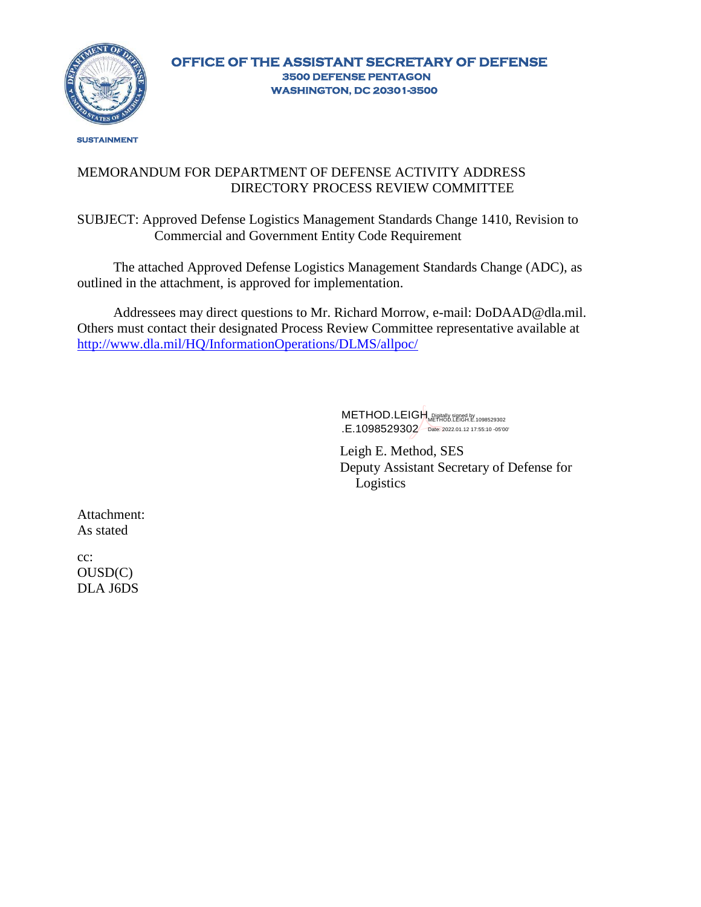

#### MEMORANDUM FOR DEPARTMENT OF DEFENSE ACTIVITY ADDRESS DIRECTORY PROCESS REVIEW COMMITTEE

SUBJECT: Approved Defense Logistics Management Standards Change 1410, Revision to Commercial and Government Entity Code Requirement

The attached Approved Defense Logistics Management Standards Change (ADC), as outlined in the attachment, is approved for implementation.

Addressees may direct questions to Mr. Richard Morrow, e-mail: [DoDAAD@dla.mil.](mailto:DoDAAD@dla.mil) Others must contact their designated Process Review Committee representative available at <http://www.dla.mil/HQ/InformationOperations/DLMS/allpoc/>

> METHOD.LEIGH Repred by Signed by 1098529302 .E.1098529302 Date: 2022.01.12 17:55:10 -05'00'

Leigh E. Method, SES Deputy Assistant Secretary of Defense for Logistics

Attachment: As stated

cc: OUSD(C) DLA J6DS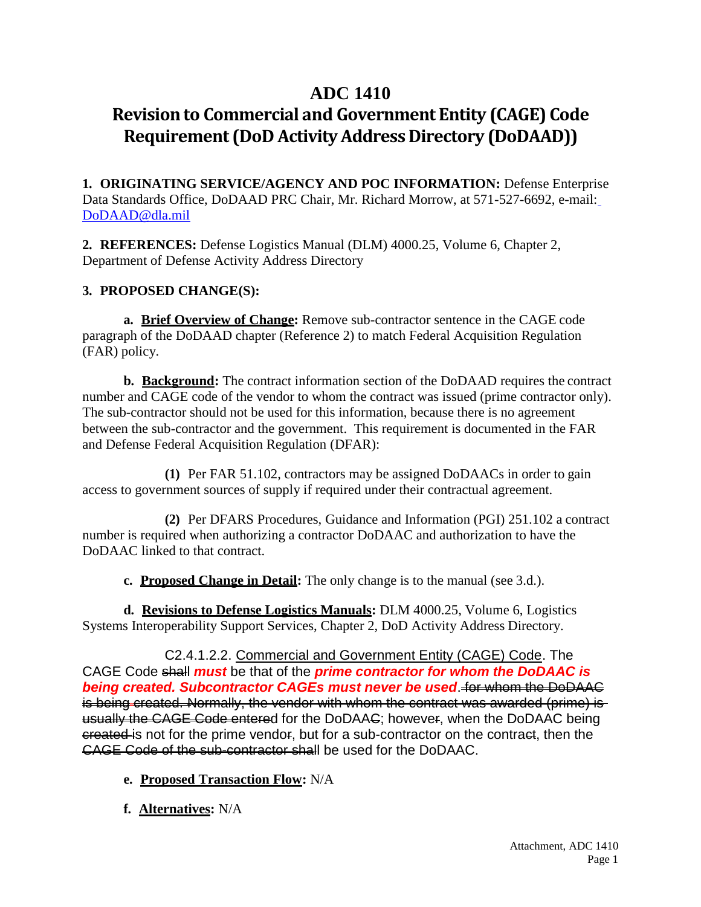# **ADC 1410**

# **Revision to Commercial and Government Entity (CAGE) Code Requirement (DoD Activity Address Directory (DoDAAD))**

**1. ORIGINATING SERVICE/AGENCY AND POC INFORMATION:** Defense Enterprise Data Standards Office, DoDAAD PRC Chair, Mr. Richard Morrow, at 571-527-6692, e-mail: [DoDAAD@dla.mil](mailto:DoDAAD@dla.mil)

**2. REFERENCES:** Defense Logistics Manual (DLM) 4000.25, Volume 6, Chapter 2, Department of Defense Activity Address Directory

# **3. PROPOSED CHANGE(S):**

**a. Brief Overview of Change:** Remove sub-contractor sentence in the CAGE code paragraph of the DoDAAD chapter (Reference 2) to match Federal Acquisition Regulation (FAR) policy.

**b. Background:** The contract information section of the DoDAAD requires the contract number and CAGE code of the vendor to whom the contract was issued (prime contractor only). The sub-contractor should not be used for this information, because there is no agreement between the sub-contractor and the government. This requirement is documented in the FAR and Defense Federal Acquisition Regulation (DFAR):

**(1)** Per FAR 51.102, contractors may be assigned DoDAACs in order to gain access to government sources of supply if required under their contractual agreement.

**(2)** Per DFARS Procedures, Guidance and Information (PGI) 251.102 a contract number is required when authorizing a contractor DoDAAC and authorization to have the DoDAAC linked to that contract.

**c. Proposed Change in Detail:** The only change is to the manual (see 3.d.).

**d. Revisions to Defense Logistics Manuals:** DLM 4000.25, Volume 6, Logistics Systems Interoperability Support Services, Chapter 2, DoD Activity Address Directory.

C2.4.1.2.2. Commercial and Government Entity (CAGE) Code. The CAGE Code shall *must* be that of the *prime contractor for whom the DoDAAC is being created. Subcontractor CAGEs must never be used*. for whom the DoDAAC is being created. Normally, the vendor with whom the contract was awarded (prime) is usually the CAGE Code entered for the DoDAAC; however, when the DoDAAC being ereated is not for the prime vendor, but for a sub-contractor on the contract, then the CAGE Code of the sub-contractor shall be used for the DoDAAC.

- **e. Proposed Transaction Flow:** N/A
- **f. Alternatives:** N/A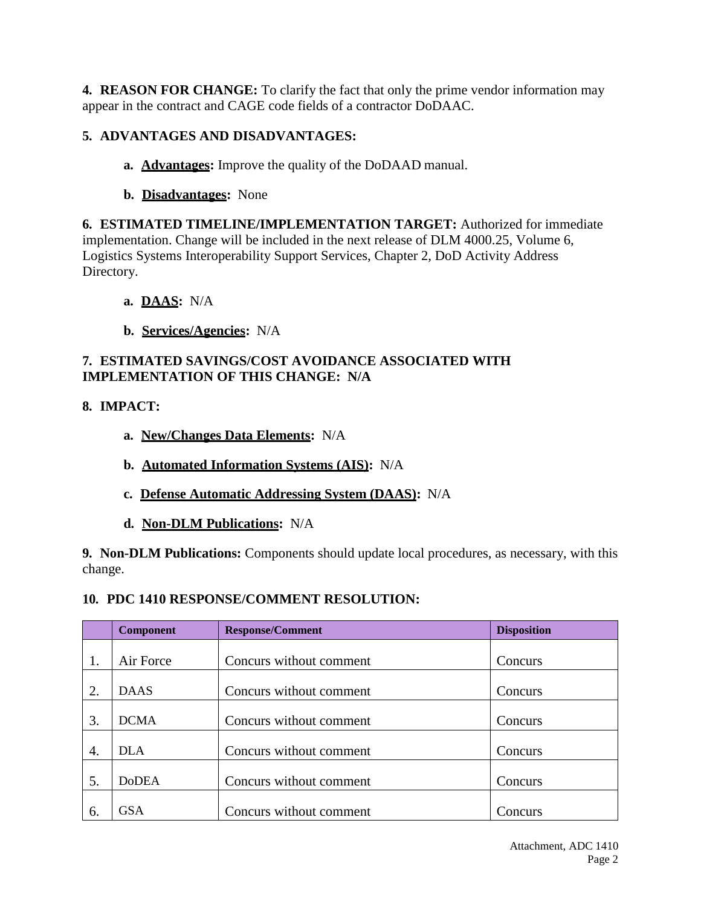**4. REASON FOR CHANGE:** To clarify the fact that only the prime vendor information may appear in the contract and CAGE code fields of a contractor DoDAAC.

### **5. ADVANTAGES AND DISADVANTAGES:**

- **a. Advantages:** Improve the quality of the DoDAAD manual.
- **b. Disadvantages:** None

**6. ESTIMATED TIMELINE/IMPLEMENTATION TARGET:** Authorized for immediate implementation. Change will be included in the next release of DLM 4000.25, Volume 6, Logistics Systems Interoperability Support Services, Chapter 2, DoD Activity Address Directory.

### **a. DAAS:** N/A

**b. Services/Agencies:** N/A

#### **7. ESTIMATED SAVINGS/COST AVOIDANCE ASSOCIATED WITH IMPLEMENTATION OF THIS CHANGE: N/A**

# **8. IMPACT:**

- **a. New/Changes Data Elements:** N/A
- **b. Automated Information Systems (AIS):** N/A
- **c. Defense Automatic Addressing System (DAAS):** N/A
- **d. Non-DLM Publications:** N/A

**9. Non-DLM Publications:** Components should update local procedures, as necessary, with this change.

#### **10. PDC 1410 RESPONSE/COMMENT RESOLUTION:**

|    | <b>Component</b> | <b>Response/Comment</b> | <b>Disposition</b> |
|----|------------------|-------------------------|--------------------|
|    |                  |                         |                    |
| 1. | Air Force        | Concurs without comment | Concurs            |
| 2. | <b>DAAS</b>      | Concurs without comment | Concurs            |
| 3. | <b>DCMA</b>      | Concurs without comment | Concurs            |
| 4. | DLA              | Concurs without comment | Concurs            |
| 5. | <b>DoDEA</b>     | Concurs without comment | Concurs            |
| 6. | <b>GSA</b>       | Concurs without comment | Concurs            |